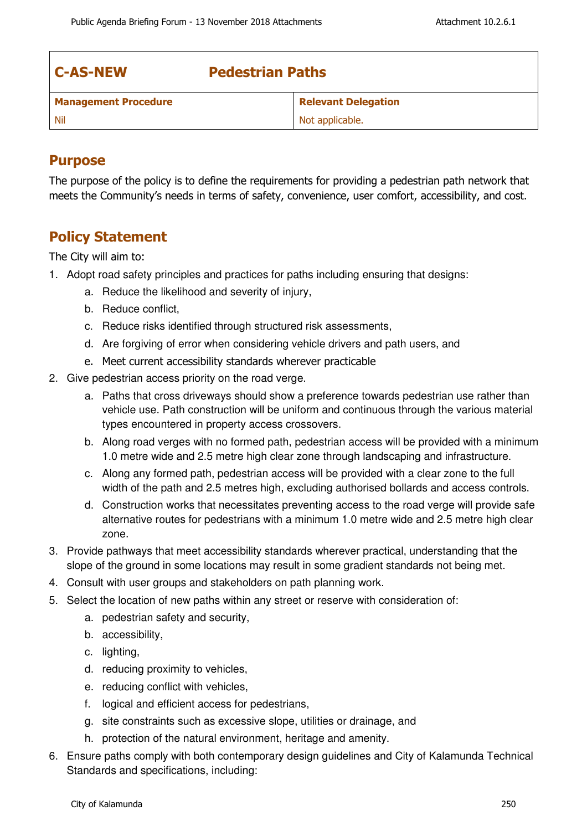| <b>C-AS-NEW</b>             | <b>Pedestrian Paths</b> |                            |  |
|-----------------------------|-------------------------|----------------------------|--|
| <b>Management Procedure</b> |                         | <b>Relevant Delegation</b> |  |
| - Nil                       |                         | Not applicable.            |  |

## **Purpose**

The purpose of the policy is to define the requirements for providing a pedestrian path network that meets the Community's needs in terms of safety, convenience, user comfort, accessibility, and cost.

## **Policy Statement**

The City will aim to:

- 1. Adopt road safety principles and practices for paths including ensuring that designs:
	- a. Reduce the likelihood and severity of injury,
	- b. Reduce conflict,
	- c. Reduce risks identified through structured risk assessments,
	- d. Are forgiving of error when considering vehicle drivers and path users, and
	- e. Meet current accessibility standards wherever practicable
- 2. Give pedestrian access priority on the road verge.
	- a. Paths that cross driveways should show a preference towards pedestrian use rather than vehicle use. Path construction will be uniform and continuous through the various material types encountered in property access crossovers.
	- b. Along road verges with no formed path, pedestrian access will be provided with a minimum 1.0 metre wide and 2.5 metre high clear zone through landscaping and infrastructure.
	- c. Along any formed path, pedestrian access will be provided with a clear zone to the full width of the path and 2.5 metres high, excluding authorised bollards and access controls.
	- d. Construction works that necessitates preventing access to the road verge will provide safe alternative routes for pedestrians with a minimum 1.0 metre wide and 2.5 metre high clear zone.
- 3. Provide pathways that meet accessibility standards wherever practical, understanding that the slope of the ground in some locations may result in some gradient standards not being met.
- 4. Consult with user groups and stakeholders on path planning work.
- 5. Select the location of new paths within any street or reserve with consideration of:
	- a. pedestrian safety and security,
	- b. accessibility,
	- c. lighting,
	- d. reducing proximity to vehicles,
	- e. reducing conflict with vehicles,
	- f. logical and efficient access for pedestrians,
	- g. site constraints such as excessive slope, utilities or drainage, and
	- h. protection of the natural environment, heritage and amenity.
- 6. Ensure paths comply with both contemporary design guidelines and City of Kalamunda Technical Standards and specifications, including: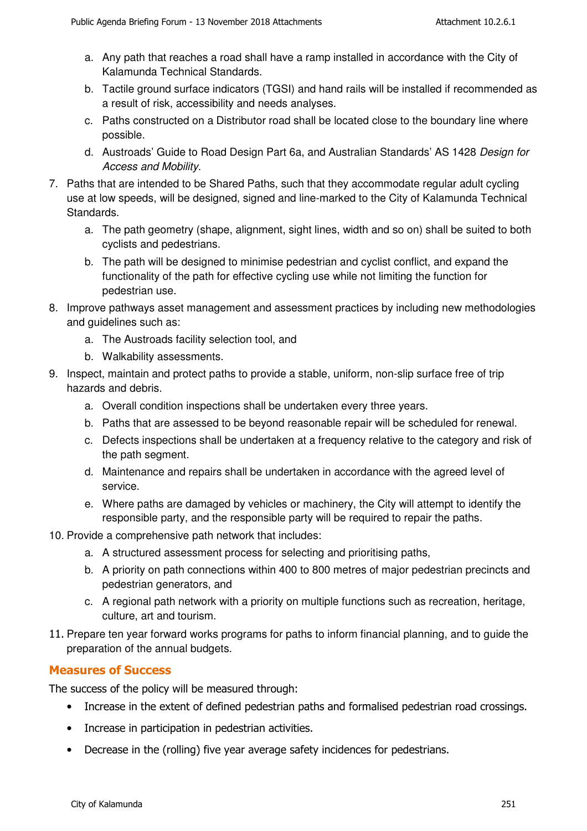- a. Any path that reaches a road shall have a ramp installed in accordance with the City of Kalamunda Technical Standards.
- b. Tactile ground surface indicators (TGSI) and hand rails will be installed if recommended as a result of risk, accessibility and needs analyses.
- c. Paths constructed on a Distributor road shall be located close to the boundary line where possible.
- d. Austroads' Guide to Road Design Part 6a, and Australian Standards' AS 1428 Design for Access and Mobility.
- 7. Paths that are intended to be Shared Paths, such that they accommodate regular adult cycling use at low speeds, will be designed, signed and line-marked to the City of Kalamunda Technical Standards.
	- a. The path geometry (shape, alignment, sight lines, width and so on) shall be suited to both cyclists and pedestrians.
	- b. The path will be designed to minimise pedestrian and cyclist conflict, and expand the functionality of the path for effective cycling use while not limiting the function for pedestrian use.
- 8. Improve pathways asset management and assessment practices by including new methodologies and guidelines such as:
	- a. The Austroads facility selection tool, and
	- b. Walkability assessments.
- 9. Inspect, maintain and protect paths to provide a stable, uniform, non-slip surface free of trip hazards and debris.
	- a. Overall condition inspections shall be undertaken every three years.
	- b. Paths that are assessed to be beyond reasonable repair will be scheduled for renewal.
	- c. Defects inspections shall be undertaken at a frequency relative to the category and risk of the path segment.
	- d. Maintenance and repairs shall be undertaken in accordance with the agreed level of service.
	- e. Where paths are damaged by vehicles or machinery, the City will attempt to identify the responsible party, and the responsible party will be required to repair the paths.
- 10. Provide a comprehensive path network that includes:
	- a. A structured assessment process for selecting and prioritising paths,
	- b. A priority on path connections within 400 to 800 metres of major pedestrian precincts and pedestrian generators, and
	- c. A regional path network with a priority on multiple functions such as recreation, heritage, culture, art and tourism.
- 11. Prepare ten year forward works programs for paths to inform financial planning, and to guide the preparation of the annual budgets.

## **Measures of Success**

The success of the policy will be measured through:

- Increase in the extent of defined pedestrian paths and formalised pedestrian road crossings.
- Increase in participation in pedestrian activities.
- Decrease in the (rolling) five year average safety incidences for pedestrians.